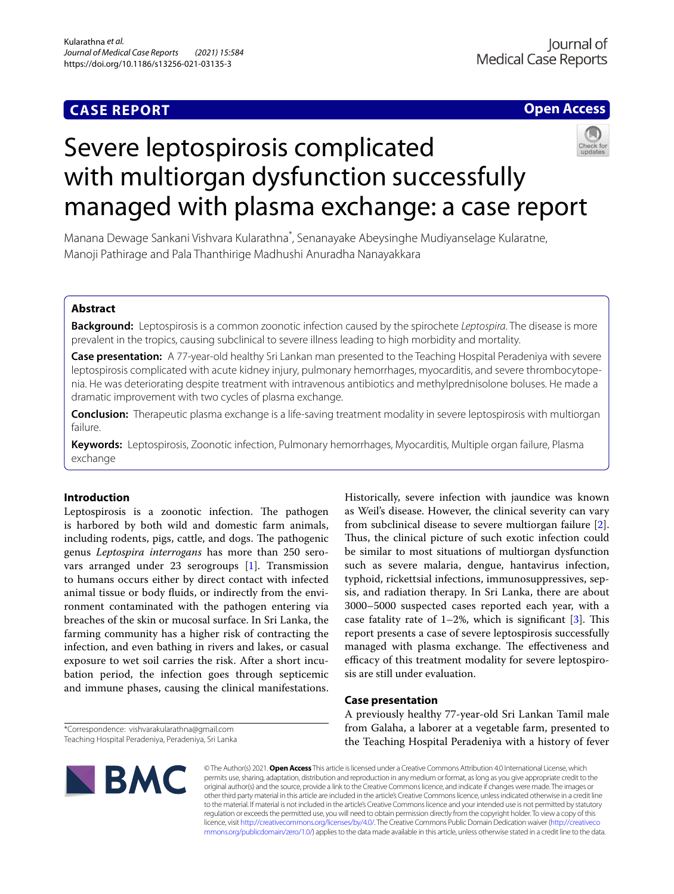# **CASE REPORT**

## **Open Access**



# Severe leptospirosis complicated with multiorgan dysfunction successfully managed with plasma exchange: a case report

Manana Dewage Sankani Vishvara Kularathna\* , Senanayake Abeysinghe Mudiyanselage Kularatne, Manoji Pathirage and Pala Thanthirige Madhushi Anuradha Nanayakkara

## **Abstract**

**Background:** Leptospirosis is a common zoonotic infection caused by the spirochete *Leptospira*. The disease is more prevalent in the tropics, causing subclinical to severe illness leading to high morbidity and mortality.

**Case presentation:** A 77-year-old healthy Sri Lankan man presented to the Teaching Hospital Peradeniya with severe leptospirosis complicated with acute kidney injury, pulmonary hemorrhages, myocarditis, and severe thrombocytopenia. He was deteriorating despite treatment with intravenous antibiotics and methylprednisolone boluses. He made a dramatic improvement with two cycles of plasma exchange.

**Conclusion:** Therapeutic plasma exchange is a life-saving treatment modality in severe leptospirosis with multiorgan failure.

**Keywords:** Leptospirosis, Zoonotic infection, Pulmonary hemorrhages, Myocarditis, Multiple organ failure, Plasma exchange

## **Introduction**

Leptospirosis is a zoonotic infection. The pathogen is harbored by both wild and domestic farm animals, including rodents, pigs, cattle, and dogs. The pathogenic genus *Leptospira interrogans* has more than 250 serovars arranged under 23 serogroups [[1\]](#page-4-0). Transmission to humans occurs either by direct contact with infected animal tissue or body fuids, or indirectly from the environment contaminated with the pathogen entering via breaches of the skin or mucosal surface. In Sri Lanka, the farming community has a higher risk of contracting the infection, and even bathing in rivers and lakes, or casual exposure to wet soil carries the risk. After a short incubation period, the infection goes through septicemic and immune phases, causing the clinical manifestations.

\*Correspondence: vishvarakularathna@gmail.com Teaching Hospital Peradeniya, Peradeniya, Sri Lanka Historically, severe infection with jaundice was known as Weil's disease. However, the clinical severity can vary from subclinical disease to severe multiorgan failure [\[2](#page-4-1)]. Thus, the clinical picture of such exotic infection could be similar to most situations of multiorgan dysfunction such as severe malaria, dengue, hantavirus infection, typhoid, rickettsial infections, immunosuppressives, sepsis, and radiation therapy. In Sri Lanka, there are about 3000–5000 suspected cases reported each year, with a case fatality rate of  $1-2\%$ , which is significant [[3\]](#page-4-2). This report presents a case of severe leptospirosis successfully managed with plasma exchange. The effectiveness and efficacy of this treatment modality for severe leptospirosis are still under evaluation.

## **Case presentation**

A previously healthy 77-year-old Sri Lankan Tamil male from Galaha, a laborer at a vegetable farm, presented to the Teaching Hospital Peradeniya with a history of fever



© The Author(s) 2021. **Open Access** This article is licensed under a Creative Commons Attribution 4.0 International License, which permits use, sharing, adaptation, distribution and reproduction in any medium or format, as long as you give appropriate credit to the original author(s) and the source, provide a link to the Creative Commons licence, and indicate if changes were made. The images or other third party material in this article are included in the article's Creative Commons licence, unless indicated otherwise in a credit line to the material. If material is not included in the article's Creative Commons licence and your intended use is not permitted by statutory regulation or exceeds the permitted use, you will need to obtain permission directly from the copyright holder. To view a copy of this licence, visit [http://creativecommons.org/licenses/by/4.0/.](http://creativecommons.org/licenses/by/4.0/) The Creative Commons Public Domain Dedication waiver ([http://creativeco](http://creativecommons.org/publicdomain/zero/1.0/) [mmons.org/publicdomain/zero/1.0/](http://creativecommons.org/publicdomain/zero/1.0/)) applies to the data made available in this article, unless otherwise stated in a credit line to the data.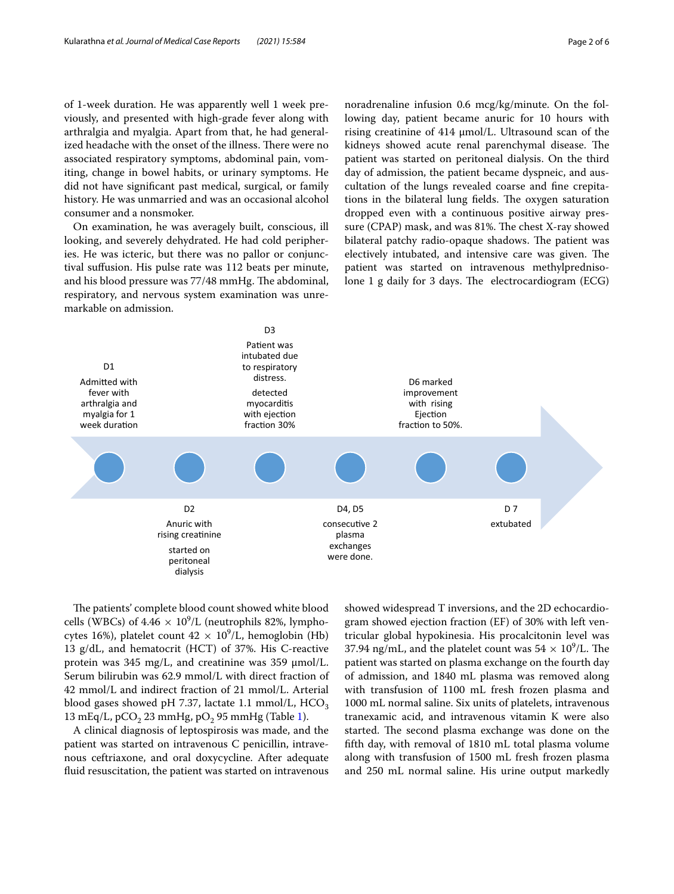of 1-week duration. He was apparently well 1 week previously, and presented with high-grade fever along with arthralgia and myalgia. Apart from that, he had generalized headache with the onset of the illness. There were no associated respiratory symptoms, abdominal pain, vomiting, change in bowel habits, or urinary symptoms. He did not have signifcant past medical, surgical, or family history. He was unmarried and was an occasional alcohol consumer and a nonsmoker.

On examination, he was averagely built, conscious, ill looking, and severely dehydrated. He had cold peripheries. He was icteric, but there was no pallor or conjunctival sufusion. His pulse rate was 112 beats per minute, and his blood pressure was 77/48 mmHg. The abdominal, respiratory, and nervous system examination was unremarkable on admission.

noradrenaline infusion 0.6 mcg/kg/minute. On the following day, patient became anuric for 10 hours with rising creatinine of  $414 \mu$ mol/L. Ultrasound scan of the kidneys showed acute renal parenchymal disease. The patient was started on peritoneal dialysis. On the third day of admission, the patient became dyspneic, and auscultation of the lungs revealed coarse and fne crepitations in the bilateral lung fields. The oxygen saturation dropped even with a continuous positive airway pressure (CPAP) mask, and was 81%. The chest X-ray showed bilateral patchy radio-opaque shadows. The patient was electively intubated, and intensive care was given. The patient was started on intravenous methylprednisolone 1 g daily for 3 days. The electrocardiogram  $(ECG)$ 



The patients' complete blood count showed white blood cells (WBCs) of  $4.46 \times 10^9$ /L (neutrophils 82%, lymphocytes 16%), platelet count  $42 \times 10^9$ /L, hemoglobin (Hb) 13 g/dL, and hematocrit (HCT) of 37%. His C-reactive protein was  $345 \text{ mg/L}$ , and creatinine was  $359 \text{ µmol/L}$ . Serum bilirubin was 62.9 mmol/L with direct fraction of 42 mmol/L and indirect fraction of 21 mmol/L. Arterial blood gases showed pH 7.37, lactate 1.1 mmol/L, HCO<sub>3</sub> 13 mEq/L,  $pCO<sub>2</sub>$  23 mmHg,  $pO<sub>2</sub>$  95 mmHg (Table [1\)](#page-2-0).

A clinical diagnosis of leptospirosis was made, and the patient was started on intravenous C penicillin, intravenous ceftriaxone, and oral doxycycline. After adequate fuid resuscitation, the patient was started on intravenous showed widespread T inversions, and the 2D echocardiogram showed ejection fraction (EF) of 30% with left ventricular global hypokinesia. His procalcitonin level was 37.94 ng/mL, and the platelet count was  $54 \times 10^9$ /L. The patient was started on plasma exchange on the fourth day of admission, and 1840 mL plasma was removed along with transfusion of 1100 mL fresh frozen plasma and 1000 mL normal saline. Six units of platelets, intravenous tranexamic acid, and intravenous vitamin K were also started. The second plasma exchange was done on the ffth day, with removal of 1810 mL total plasma volume along with transfusion of 1500 mL fresh frozen plasma and 250 mL normal saline. His urine output markedly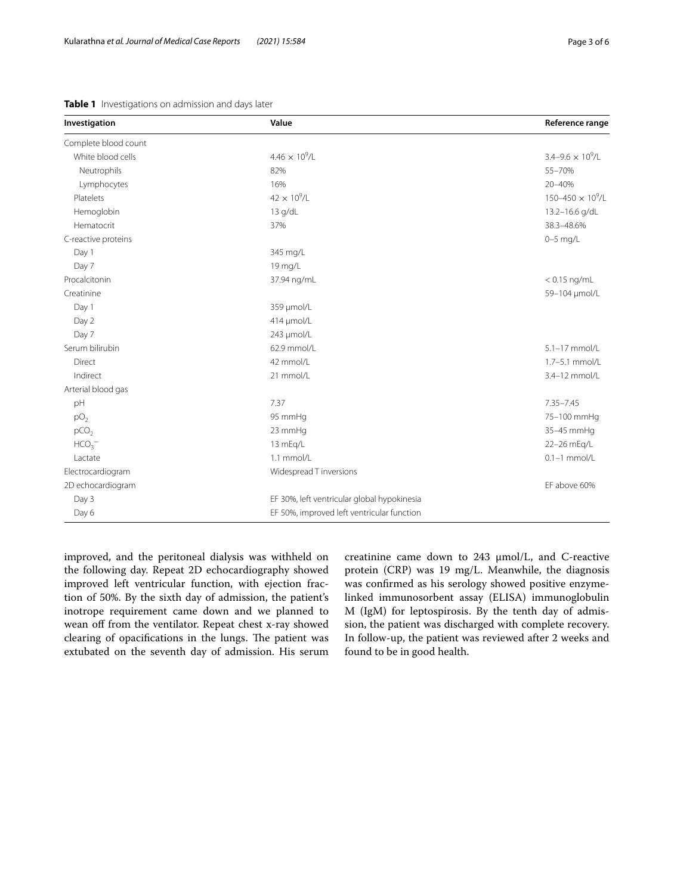| Investigation        | Value                                       | Reference range            |
|----------------------|---------------------------------------------|----------------------------|
| Complete blood count |                                             |                            |
| White blood cells    | $4.46 \times 10^9$ /L                       | $3.4 - 9.6 \times 10^9$ /L |
| Neutrophils          | 82%                                         | 55-70%                     |
| Lymphocytes          | 16%                                         | 20-40%                     |
| <b>Platelets</b>     | $42 \times 10^{9}$ /L                       | $150 - 450 \times 10^9$ /L |
| Hemoglobin           | 13 g/dL                                     | 13.2-16.6 g/dL             |
| Hematocrit           | 37%                                         | 38.3-48.6%                 |
| C-reactive proteins  |                                             | $0-5$ mg/L                 |
| Day 1                | 345 mg/L                                    |                            |
| Day 7                | 19 mg/L                                     |                            |
| Procalcitonin        | 37.94 ng/mL                                 | $< 0.15$ ng/mL             |
| Creatinine           |                                             | 59-104 µmol/L              |
| Day 1                | 359 µmol/L                                  |                            |
| Day 2                | 414 µmol/L                                  |                            |
| Day 7                | 243 µmol/L                                  |                            |
| Serum bilirubin      | 62.9 mmol/L                                 | 5.1-17 mmol/L              |
| Direct               | 42 mmol/L                                   | 1.7-5.1 mmol/L             |
| Indirect             | 21 mmol/L                                   | 3.4-12 mmol/L              |
| Arterial blood gas   |                                             |                            |
| pH                   | 7.37                                        | $7.35 - 7.45$              |
| pO <sub>2</sub>      | 95 mmHg                                     | 75-100 mmHg                |
| pCO <sub>2</sub>     | 23 mmHq                                     | 35-45 mmHg                 |
| HCO <sub>3</sub>     | 13 mEg/L                                    | 22-26 mEq/L                |
| Lactate              | 1.1 mmol/L                                  | $0.1-1$ mmol/L             |
| Electrocardiogram    | Widespread T inversions                     |                            |
| 2D echocardiogram    |                                             | EF above 60%               |
| Day 3                | EF 30%, left ventricular global hypokinesia |                            |
| Day 6                | EF 50%, improved left ventricular function  |                            |

<span id="page-2-0"></span>**Table 1** Investigations on admission and days later

improved, and the peritoneal dialysis was withheld on the following day. Repeat 2D echocardiography showed improved left ventricular function, with ejection fraction of 50%. By the sixth day of admission, the patient's inotrope requirement came down and we planned to wean off from the ventilator. Repeat chest x-ray showed clearing of opacifications in the lungs. The patient was extubated on the seventh day of admission. His serum creatinine came down to 243 µmol/L, and C-reactive protein (CRP) was 19 mg/L. Meanwhile, the diagnosis was confrmed as his serology showed positive enzymelinked immunosorbent assay (ELISA) immunoglobulin M (IgM) for leptospirosis. By the tenth day of admission, the patient was discharged with complete recovery. In follow-up, the patient was reviewed after 2 weeks and found to be in good health.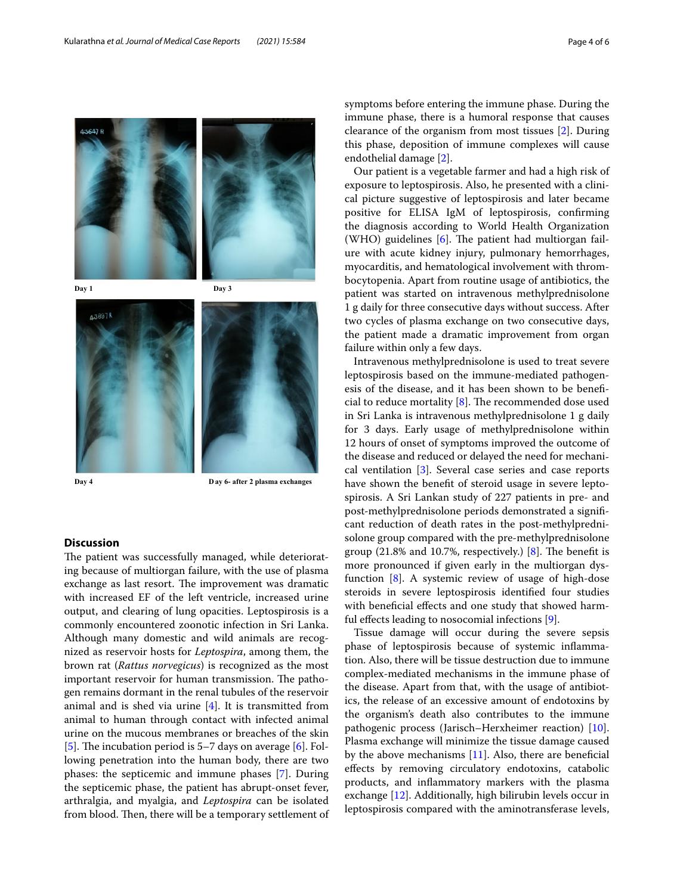



**Day 4 D ay 6- after 2 plasma exchanges**

## **Discussion**

The patient was successfully managed, while deteriorating because of multiorgan failure, with the use of plasma exchange as last resort. The improvement was dramatic with increased EF of the left ventricle, increased urine output, and clearing of lung opacities. Leptospirosis is a commonly encountered zoonotic infection in Sri Lanka. Although many domestic and wild animals are recognized as reservoir hosts for *Leptospira*, among them, the brown rat (*Rattus norvegicus*) is recognized as the most important reservoir for human transmission. The pathogen remains dormant in the renal tubules of the reservoir animal and is shed via urine [\[4](#page-4-3)]. It is transmitted from animal to human through contact with infected animal urine on the mucous membranes or breaches of the skin [[5\]](#page-4-4). The incubation period is  $5-7$  days on average [[6\]](#page-4-5). Following penetration into the human body, there are two phases: the septicemic and immune phases [[7\]](#page-4-6). During the septicemic phase, the patient has abrupt-onset fever, arthralgia, and myalgia, and *Leptospira* can be isolated from blood. Then, there will be a temporary settlement of symptoms before entering the immune phase. During the immune phase, there is a humoral response that causes clearance of the organism from most tissues [[2\]](#page-4-1). During this phase, deposition of immune complexes will cause endothelial damage [[2\]](#page-4-1).

Our patient is a vegetable farmer and had a high risk of exposure to leptospirosis. Also, he presented with a clinical picture suggestive of leptospirosis and later became positive for ELISA IgM of leptospirosis, confrming the diagnosis according to World Health Organization (WHO) guidelines  $[6]$  $[6]$ . The patient had multiorgan failure with acute kidney injury, pulmonary hemorrhages, myocarditis, and hematological involvement with thrombocytopenia. Apart from routine usage of antibiotics, the patient was started on intravenous methylprednisolone 1 g daily for three consecutive days without success. After two cycles of plasma exchange on two consecutive days, the patient made a dramatic improvement from organ failure within only a few days.

Intravenous methylprednisolone is used to treat severe leptospirosis based on the immune-mediated pathogenesis of the disease, and it has been shown to be benefcial to reduce mortality  $[8]$  $[8]$ . The recommended dose used in Sri Lanka is intravenous methylprednisolone 1 g daily for 3 days. Early usage of methylprednisolone within 12 hours of onset of symptoms improved the outcome of the disease and reduced or delayed the need for mechanical ventilation [\[3](#page-4-2)]. Several case series and case reports have shown the beneft of steroid usage in severe leptospirosis. A Sri Lankan study of 227 patients in pre- and post-methylprednisolone periods demonstrated a signifcant reduction of death rates in the post-methylprednisolone group compared with the pre-methylprednisolone group  $(21.8\%$  and 10.7%, respectively.) [[8\]](#page-4-7). The benefit is more pronounced if given early in the multiorgan dysfunction [\[8](#page-4-7)]. A systemic review of usage of high-dose steroids in severe leptospirosis identifed four studies with beneficial effects and one study that showed harmful efects leading to nosocomial infections [[9](#page-4-8)].

Tissue damage will occur during the severe sepsis phase of leptospirosis because of systemic infammation. Also, there will be tissue destruction due to immune complex-mediated mechanisms in the immune phase of the disease. Apart from that, with the usage of antibiotics, the release of an excessive amount of endotoxins by the organism's death also contributes to the immune pathogenic process (Jarisch–Herxheimer reaction) [\[10](#page-4-9)]. Plasma exchange will minimize the tissue damage caused by the above mechanisms  $[11]$  $[11]$ . Also, there are beneficial efects by removing circulatory endotoxins, catabolic products, and infammatory markers with the plasma exchange [\[12](#page-4-11)]. Additionally, high bilirubin levels occur in leptospirosis compared with the aminotransferase levels,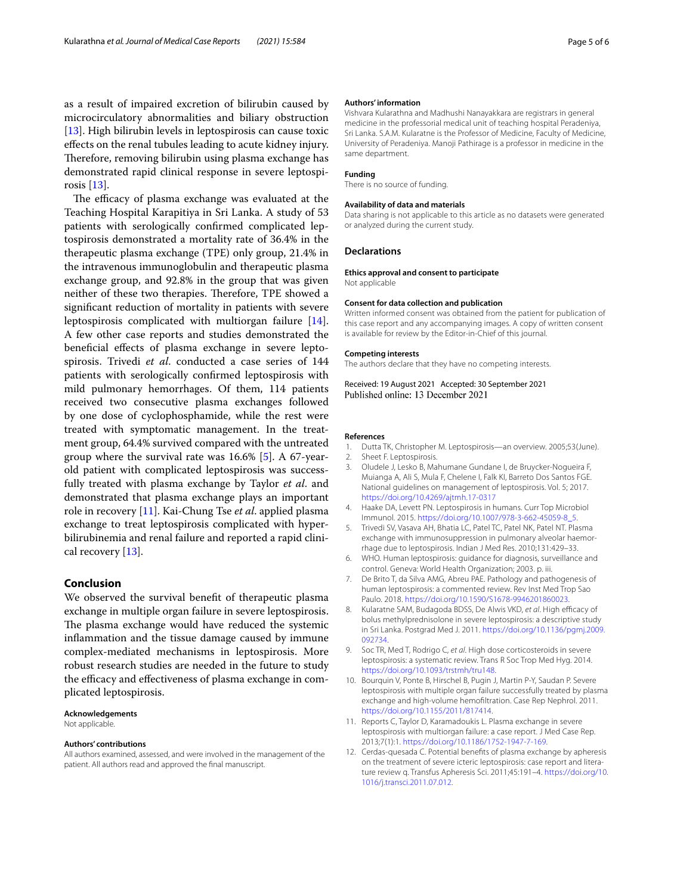as a result of impaired excretion of bilirubin caused by microcirculatory abnormalities and biliary obstruction [[13\]](#page-5-0). High bilirubin levels in leptospirosis can cause toxic efects on the renal tubules leading to acute kidney injury. Therefore, removing bilirubin using plasma exchange has demonstrated rapid clinical response in severe leptospirosis [\[13](#page-5-0)].

The efficacy of plasma exchange was evaluated at the Teaching Hospital Karapitiya in Sri Lanka. A study of 53 patients with serologically confrmed complicated leptospirosis demonstrated a mortality rate of 36.4% in the therapeutic plasma exchange (TPE) only group, 21.4% in the intravenous immunoglobulin and therapeutic plasma exchange group, and 92.8% in the group that was given neither of these two therapies. Therefore, TPE showed a signifcant reduction of mortality in patients with severe leptospirosis complicated with multiorgan failure [\[14](#page-5-1)]. A few other case reports and studies demonstrated the benefcial efects of plasma exchange in severe leptospirosis. Trivedi *et al*. conducted a case series of 144 patients with serologically confrmed leptospirosis with mild pulmonary hemorrhages. Of them, 114 patients received two consecutive plasma exchanges followed by one dose of cyclophosphamide, while the rest were treated with symptomatic management. In the treatment group, 64.4% survived compared with the untreated group where the survival rate was 16.6% [[5](#page-4-4)]. A 67-yearold patient with complicated leptospirosis was successfully treated with plasma exchange by Taylor *et al*. and demonstrated that plasma exchange plays an important role in recovery [\[11\]](#page-4-10). Kai-Chung Tse *et al*. applied plasma exchange to treat leptospirosis complicated with hyperbilirubinemia and renal failure and reported a rapid clinical recovery [\[13](#page-5-0)].

## **Conclusion**

We observed the survival beneft of therapeutic plasma exchange in multiple organ failure in severe leptospirosis. The plasma exchange would have reduced the systemic infammation and the tissue damage caused by immune complex-mediated mechanisms in leptospirosis. More robust research studies are needed in the future to study the efficacy and effectiveness of plasma exchange in complicated leptospirosis.

## **Acknowledgements**

Not applicable.

#### **Authors' contributions**

All authors examined, assessed, and were involved in the management of the patient. All authors read and approved the fnal manuscript.

#### **Authors' information**

Vishvara Kularathna and Madhushi Nanayakkara are registrars in general medicine in the professorial medical unit of teaching hospital Peradeniya, Sri Lanka. S.A.M. Kularatne is the Professor of Medicine, Faculty of Medicine, University of Peradeniya. Manoji Pathirage is a professor in medicine in the same department.

#### **Funding**

There is no source of funding.

#### **Availability of data and materials**

Data sharing is not applicable to this article as no datasets were generated or analyzed during the current study.

#### **Declarations**

#### **Ethics approval and consent to participate**

Not applicable

#### **Consent for data collection and publication**

Written informed consent was obtained from the patient for publication of this case report and any accompanying images. A copy of written consent is available for review by the Editor-in-Chief of this journal.

#### **Competing interests**

The authors declare that they have no competing interests.

Received: 19 August 2021 Accepted: 30 September 2021 Published online: 13 December 2021

#### **References**

- <span id="page-4-0"></span>Dutta TK, Christopher M. Leptospirosis—an overview. 2005;53(June).
- <span id="page-4-1"></span>2. Sheet F. Leptospirosis.
- <span id="page-4-2"></span>3. Oludele J, Lesko B, Mahumane Gundane I, de Bruycker-Nogueira F, Muianga A, Ali S, Mula F, Chelene I, Falk KI, Barreto Dos Santos FGE. National guidelines on management of leptospirosis. Vol. 5; 2017. <https://doi.org/10.4269/ajtmh.17-0317>
- <span id="page-4-3"></span>4. Haake DA, Levett PN. Leptospirosis in humans. Curr Top Microbiol Immunol. 2015. [https://doi.org/10.1007/978-3-662-45059-8\\_5.](https://doi.org/10.1007/978-3-662-45059-8_5)
- <span id="page-4-4"></span>5. Trivedi SV, Vasava AH, Bhatia LC, Patel TC, Patel NK, Patel NT. Plasma exchange with immunosuppression in pulmonary alveolar haemorrhage due to leptospirosis. Indian J Med Res. 2010;131:429–33.
- <span id="page-4-5"></span>6. WHO. Human leptospirosis: guidance for diagnosis, surveillance and control. Geneva: World Health Organization; 2003. p. iii.
- <span id="page-4-6"></span>7. De Brito T, da Silva AMG, Abreu PAE. Pathology and pathogenesis of human leptospirosis: a commented review. Rev Inst Med Trop Sao Paulo. 2018. <https://doi.org/10.1590/S1678-9946201860023>.
- <span id="page-4-7"></span>8. Kularatne SAM, Budagoda BDSS, De Alwis VKD, et al. High efficacy of bolus methylprednisolone in severe leptospirosis: a descriptive study in Sri Lanka. Postgrad Med J. 2011. [https://doi.org/10.1136/pgmj.2009.](https://doi.org/10.1136/pgmj.2009.092734) [092734](https://doi.org/10.1136/pgmj.2009.092734).
- <span id="page-4-8"></span>9. Soc TR, Med T, Rodrigo C, *et al*. High dose corticosteroids in severe leptospirosis: a systematic review. Trans R Soc Trop Med Hyg. 2014. <https://doi.org/10.1093/trstmh/tru148>.
- <span id="page-4-9"></span>10. Bourquin V, Ponte B, Hirschel B, Pugin J, Martin P-Y, Saudan P. Severe leptospirosis with multiple organ failure successfully treated by plasma exchange and high-volume hemofltration. Case Rep Nephrol. 2011. <https://doi.org/10.1155/2011/817414>.
- <span id="page-4-10"></span>11. Reports C, Taylor D, Karamadoukis L. Plasma exchange in severe leptospirosis with multiorgan failure: a case report. J Med Case Rep. 2013;7(1):1. [https://doi.org/10.1186/1752-1947-7-169.](https://doi.org/10.1186/1752-1947-7-169)
- <span id="page-4-11"></span>12. Cerdas-quesada C. Potential benefts of plasma exchange by apheresis on the treatment of severe icteric leptospirosis: case report and literature review q. Transfus Apheresis Sci. 2011;45:191–4. [https://doi.org/10.](https://doi.org/10.1016/j.transci.2011.07.012) [1016/j.transci.2011.07.012](https://doi.org/10.1016/j.transci.2011.07.012).